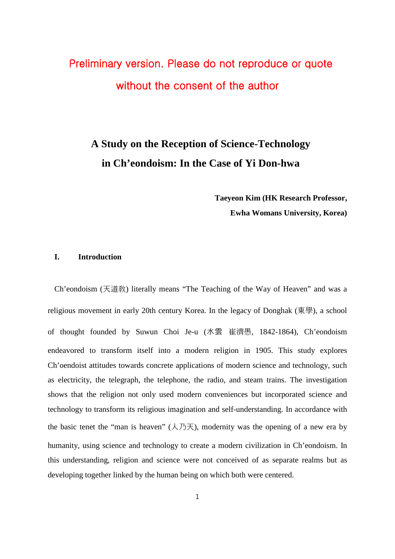# Preliminary version. Please do not reproduce or quote without the consent of the author

# **A Study on the Reception of Science-Technology in Ch'eondoism: In the Case of Yi Don-hwa**

**Taeyeon Kim (HK Research Professor, Ewha Womans University, Korea)**

### **I. Introduction**

Ch'eondoism (天道敎) literally means "The Teaching of the Way of Heaven" and was a religious movement in early 20th century Korea. In the legacy of Donghak (東學), a school of thought founded by Suwun Choi Je-u (水雲 崔濟愚, 1842-1864), Ch'eondoism endeavored to transform itself into a modern religion in 1905. This study explores Ch'oendoist attitudes towards concrete applications of modern science and technology, such as electricity, the telegraph, the telephone, the radio, and steam trains. The investigation shows that the religion not only used modern conveniences but incorporated science and technology to transform its religious imagination and self-understanding. In accordance with the basic tenet the "man is heaven"  $(\lambda \bar{\beta})$ , modernity was the opening of a new era by humanity, using science and technology to create a modern civilization in Ch'eondoism. In this understanding, religion and science were not conceived of as separate realms but as developing together linked by the human being on which both were centered.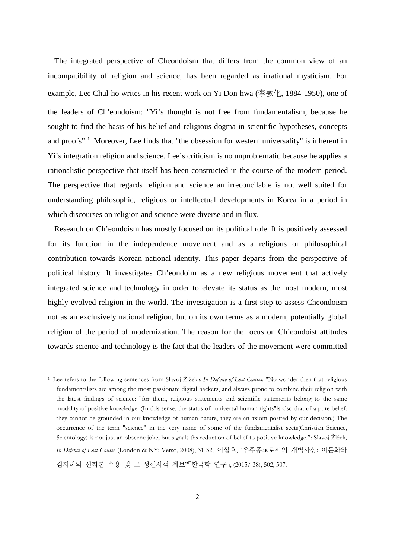The integrated perspective of Cheondoism that differs from the common view of an incompatibility of religion and science, has been regarded as irrational mysticism. For example, Lee Chul-ho writes in his recent work on Yi Don-hwa (李敦化, 1884-1950), one of the leaders of Ch'eondoism: "Yi's thought is not free from fundamentalism, because he sought to find the basis of his belief and religious dogma in scientific hypotheses, concepts and proofs".<sup>[1](#page-1-0)</sup> Moreover, Lee finds that "the obsession for western universality" is inherent in Yi's integration religion and science. Lee's criticism is no unproblematic because he applies a rationalistic perspective that itself has been constructed in the course of the modern period. The perspective that regards religion and science an irreconcilable is not well suited for understanding philosophic, religious or intellectual developments in Korea in a period in which discourses on religion and science were diverse and in flux.

Research on Ch'eondoism has mostly focused on its political role. It is positively assessed for its function in the independence movement and as a religious or philosophical contribution towards Korean national identity. This paper departs from the perspective of political history. It investigates Ch'eondoim as a new religious movement that actively integrated science and technology in order to elevate its status as the most modern, most highly evolved religion in the world. The investigation is a first step to assess Cheondoism not as an exclusively national religion, but on its own terms as a modern, potentially global religion of the period of modernization. The reason for the focus on Ch'eondoist attitudes towards science and technology is the fact that the leaders of the movement were committed

-

<span id="page-1-0"></span><sup>1</sup> Lee refers to the following sentences from Slavoj Žižek's *In Defence of Lost Causes*: "No wonder then that religious fundamentalists are among the most passionate digital hackers, and always prone to combine their religion with the latest findings of science: "for them, religious statements and scientific statements belong to the same modality of positive knowledge. (In this sense, the status of "universal human rights"is also that of a pure belief: they cannot be grounded in our knowledge of human nature, they are an axiom posited by our decision.) The occurrence of the term "science" in the very name of some of the fundamentalist sects(Christian Science, Scientology) is not just an obscene joke, but signals ths reduction of belief to positive knowledge.": Slavoj Žižek, *In Defence of Lost Cause*s (London & NY: Verso, 2008), 31-32; 이철호, "우주종교로서의 개벽사상: 이돈화와 김지하의 진화론 수용 및 그 정신사적 계보"「한국학 연구」, (2015/ 38), 502, 507.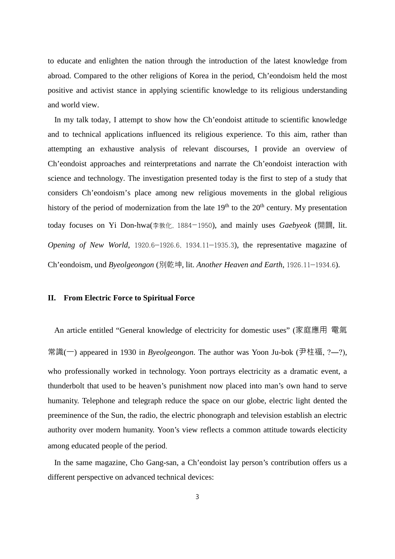to educate and enlighten the nation through the introduction of the latest knowledge from abroad. Compared to the other religions of Korea in the period, Ch'eondoism held the most positive and activist stance in applying scientific knowledge to its religious understanding and world view.

In my talk today, I attempt to show how the Ch'eondoist attitude to scientific knowledge and to technical applications influenced its religious experience. To this aim, rather than attempting an exhaustive analysis of relevant discourses, I provide an overview of Ch'eondoist approaches and reinterpretations and narrate the Ch'eondoist interaction with science and technology. The investigation presented today is the first to step of a study that considers Ch'eondoism's place among new religious movements in the global religious history of the period of modernization from the late  $19<sup>th</sup>$  to the  $20<sup>th</sup>$  century. My presentation today focuses on Yi Don-hwa(李敦化, 1884―1950), and mainly uses *Gaebyeok* (開闢, lit. *Opening of New World*, 1920.6―1926.6, 1934.11―1935.3), the representative magazine of Ch'eondoism, und *Byeolgeongon* (別乾坤, lit. *Another Heaven and Earth*, 1926.11―1934.6).

#### **II. From Electric Force to Spiritual Force**

An article entitled "General knowledge of electricity for domestic uses" (家庭應用 電氣 常識(一) appeared in 1930 in *Byeolgeongon*. The author was Yoon Ju-bok (尹柱福, ?―?), who professionally worked in technology. Yoon portrays electricity as a dramatic event, a thunderbolt that used to be heaven's punishment now placed into man's own hand to serve humanity. Telephone and telegraph reduce the space on our globe, electric light dented the preeminence of the Sun, the radio, the electric phonograph and television establish an electric authority over modern humanity. Yoon's view reflects a common attitude towards electicity among educated people of the period,

In the same magazine, Cho Gang-san, a Ch'eondoist lay person's contribution offers us a different perspective on advanced technical devices: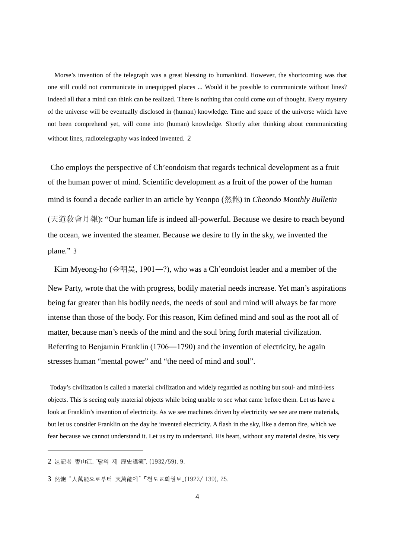Morse's invention of the telegraph was a great blessing to humankind. However, the shortcoming was that one still could not communicate in unequipped places ... Would it be possible to communicate without lines? Indeed all that a mind can think can be realized. There is nothing that could come out of thought. Every mystery of the universe will be eventually disclosed in (human) knowledge. Time and space of the universe which have not been comprehend yet, will come into (human) knowledge. Shortly after thinking about communicating without lines, radiotelegraphy was indeed invented. [2](#page-3-0)

Cho employs the perspective of Ch'eondoism that regards technical development as a fruit of the human power of mind. Scientific development as a fruit of the power of the human mind is found a decade earlier in an article by Yeonpo (然飽) in *Cheondo Monthly Bulletin*  (天道敎會月報): "Our human life is indeed all-powerful. Because we desire to reach beyond the ocean, we invented the steamer. Because we desire to fly in the sky, we invented the plane." [3](#page-3-1)

Kim Myeong-ho (金明昊, 1901―?), who was a Ch'eondoist leader and a member of the New Party, wrote that the with progress, bodily material needs increase. Yet man's aspirations being far greater than his bodily needs, the needs of soul and mind will always be far more intense than those of the body. For this reason, Kim defined mind and soul as the root all of matter, because man's needs of the mind and the soul bring forth material civilization. Referring to Benjamin Franklin (1706―1790) and the invention of electricity, he again stresses human "mental power" and "the need of mind and soul".

Today's civilization is called a material civilization and widely regarded as nothing but soul- and mind-less objects. This is seeing only material objects while being unable to see what came before them. Let us have a look at Franklin's invention of electricity. As we see machines driven by electricity we see are mere materials, but let us consider Franklin on the day he invented electricity. A flash in the sky, like a demon fire, which we fear because we cannot understand it. Let us try to understand. His heart, without any material desire, his very

-

<span id="page-3-0"></span><sup>2</sup> 速記者 曺山江, "닭의 제 歷史講演", (1932/59), 9.

<span id="page-3-1"></span><sup>3</sup> 然飽 "人萬能으로부터 天萬能에" 「천도교회월보」(1922/ 139), 25.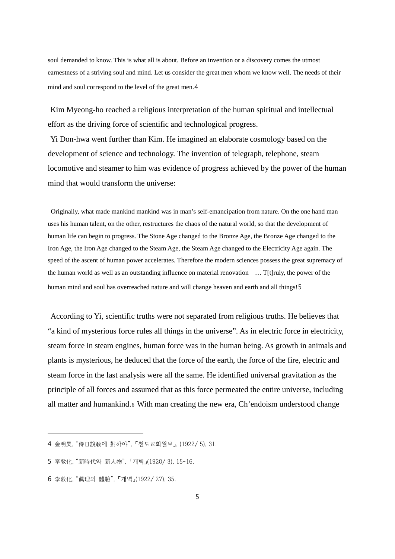soul demanded to know. This is what all is about. Before an invention or a discovery comes the utmost earnestness of a striving soul and mind. Let us consider the great men whom we know well. The needs of their mind and soul correspond to the level of the great men.[4](#page-4-0)

Kim Myeong-ho reached a religious interpretation of the human spiritual and intellectual effort as the driving force of scientific and technological progress.

Yi Don-hwa went further than Kim. He imagined an elaborate cosmology based on the development of science and technology. The invention of telegraph, telephone, steam locomotive and steamer to him was evidence of progress achieved by the power of the human mind that would transform the universe:

Originally, what made mankind mankind was in man's self-emancipation from nature. On the one hand man uses his human talent, on the other, restructures the chaos of the natural world, so that the development of human life can begin to progress. The Stone Age changed to the Bronze Age, the Bronze Age changed to the Iron Age, the Iron Age changed to the Steam Age, the Steam Age changed to the Electricity Age again. The speed of the ascent of human power accelerates. Therefore the modern sciences possess the great supremacy of the human world as well as an outstanding influence on material renovation … T[t]ruly, the power of the human mind and soul has overreached nature and will change heaven and earth and all things![5](#page-4-1)

According to Yi, scientific truths were not separated from religious truths. He believes that "a kind of mysterious force rules all things in the universe". As in electric force in electricity, steam force in steam engines, human force was in the human being. As growth in animals and plants is mysterious, he deduced that the force of the earth, the force of the fire, electric and steam force in the last analysis were all the same. He identified universal gravitation as the principle of all forces and assumed that as this force permeated the entire universe, including all matter and humankind.[6](#page-4-2) With man creating the new era, Ch'endoism understood change

-

<span id="page-4-0"></span><sup>4</sup> 金明昊, "侍日說敎에 對하야", 「천도교회월보」, (1922/ 5), 31.

<span id="page-4-1"></span><sup>5</sup> 李敦化, "新時代와 新人物", 「개벽」(1920/ 3), 15-16.

<span id="page-4-2"></span><sup>6</sup> 李敦化, "眞理의 體驗", 「개벽」(1922/ 27), 35.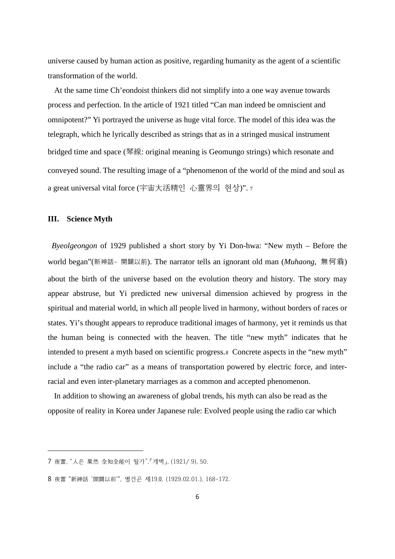universe caused by human action as positive, regarding humanity as the agent of a scientific transformation of the world.

At the same time Ch'eondoist thinkers did not simplify into a one way avenue towards process and perfection. In the article of 1921 titled "Can man indeed be omniscient and omnipotent?" Yi portrayed the universe as huge vital force. The model of this idea was the telegraph, which he lyrically described as strings that as in a stringed musical instrument bridged time and space (琴線: original meaning is Geomungo strings) which resonate and conveyed sound. The resulting image of a "phenomenon of the world of the mind and soul as a great universal vital force (宇宙大活精인 心靈界의 현상)". [7](#page-5-0)

#### **III. Science Myth**

-

*Byeolgeongon* of 1929 published a short story by Yi Don-hwa: "New myth – Before the world began"(新神話- 開闢以前). The narrator tells an ignorant old man (*Muhaong*, 無何翁) about the birth of the universe based on the evolution theory and history. The story may appear abstruse, but Yi predicted new universal dimension achieved by progress in the spiritual and material world, in which all people lived in harmony, without borders of races or states. Yi's thought appears to reproduce traditional images of harmony, yet it reminds us that the human being is connected with the heaven. The title "new myth" indicates that he intended to present a myth based on scientific progress.[8](#page-5-1) Concrete aspects in the "new myth" include a "the radio car" as a means of transportation powered by electric force, and interracial and even inter-planetary marriages as a common and accepted phenomenon.

In addition to showing an awareness of global trends, his myth can also be read as the opposite of reality in Korea under Japanese rule: Evolved people using the radio car which

<span id="page-5-0"></span><sup>7</sup> 夜雷, "人은 果然 全知全能이 될가",「개벽」, (1921/ 9), 50.

<span id="page-5-1"></span><sup>8</sup> 夜雷 "新神話 '開闢以前'", 별건곤 제19호 (1929.02.01.), 168-172.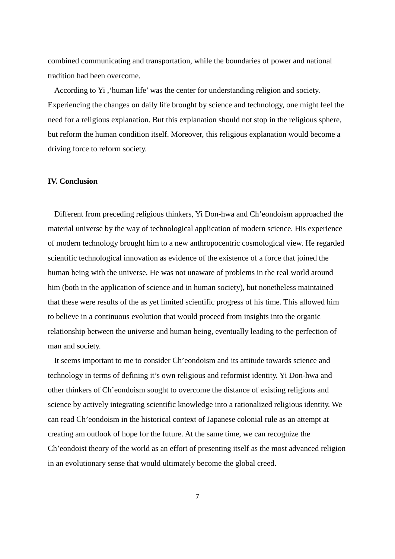combined communicating and transportation, while the boundaries of power and national tradition had been overcome.

According to Yi ,'human life' was the center for understanding religion and society. Experiencing the changes on daily life brought by science and technology, one might feel the need for a religious explanation. But this explanation should not stop in the religious sphere, but reform the human condition itself. Moreover, this religious explanation would become a driving force to reform society.

## **IV. Conclusion**

Different from preceding religious thinkers, Yi Don-hwa and Ch'eondoism approached the material universe by the way of technological application of modern science. His experience of modern technology brought him to a new anthropocentric cosmological view. He regarded scientific technological innovation as evidence of the existence of a force that joined the human being with the universe. He was not unaware of problems in the real world around him (both in the application of science and in human society), but nonetheless maintained that these were results of the as yet limited scientific progress of his time. This allowed him to believe in a continuous evolution that would proceed from insights into the organic relationship between the universe and human being, eventually leading to the perfection of man and society.

It seems important to me to consider Ch'eondoism and its attitude towards science and technology in terms of defining it's own religious and reformist identity. Yi Don-hwa and other thinkers of Ch'eondoism sought to overcome the distance of existing religions and science by actively integrating scientific knowledge into a rationalized religious identity. We can read Ch'eondoism in the historical context of Japanese colonial rule as an attempt at creating am outlook of hope for the future. At the same time, we can recognize the Ch'eondoist theory of the world as an effort of presenting itself as the most advanced religion in an evolutionary sense that would ultimately become the global creed.